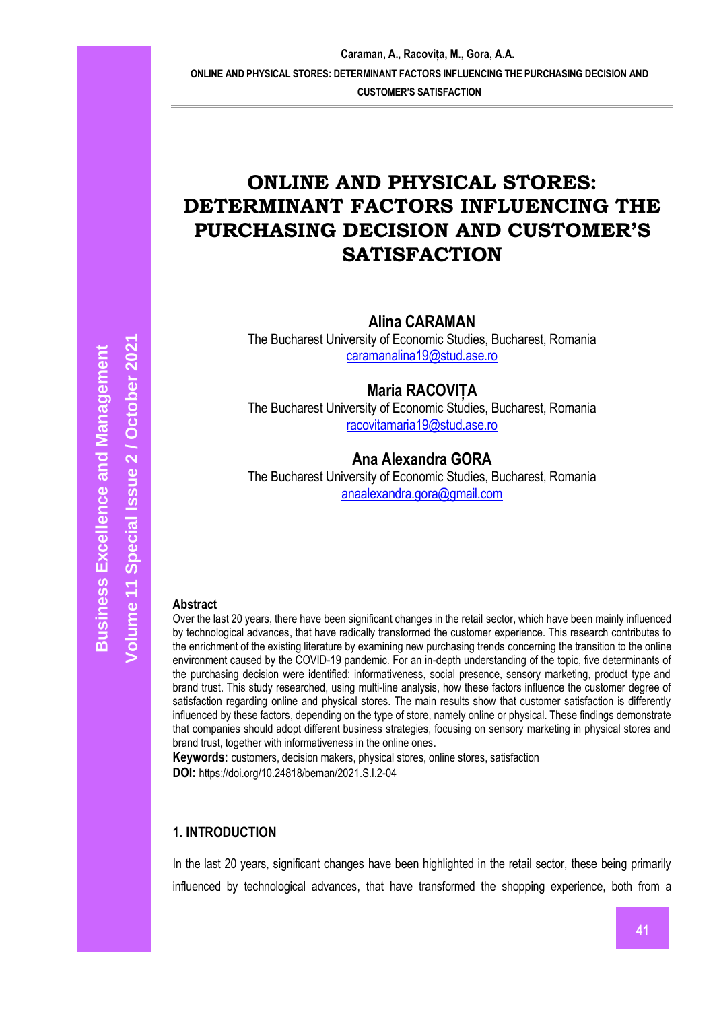# **ONLINE AND PHYSICAL STORES: DETERMINANT FACTORS INFLUENCING THE PURCHASING DECISION AND CUSTOMER'S SATISFACTION**

**Alina CARAMAN**

The Bucharest University of Economic Studies, Bucharest, Romania [caramanalina19@stud.ase.ro](mailto:caramanalina19@stud.ase.ro)

**Maria RACOVIȚA**

The Bucharest University of Economic Studies, Bucharest, Romania [racovitamaria19@stud.ase.ro](mailto:racovitamaria19@stud.ase.ro)

# **Ana Alexandra GORA**

The Bucharest University of Economic Studies, Bucharest, Romania [anaalexandra.gora@gmail.com](mailto:anaalexandra.gora@gmail.com)

#### **Abstract**

Over the last 20 years, there have been significant changes in the retail sector, which have been mainly influenced by technological advances, that have radically transformed the customer experience. This research contributes to the enrichment of the existing literature by examining new purchasing trends concerning the transition to the online environment caused by the COVID-19 pandemic. For an in-depth understanding of the topic, five determinants of the purchasing decision were identified: informativeness, social presence, sensory marketing, product type and brand trust. This study researched, using multi-line analysis, how these factors influence the customer degree of satisfaction regarding online and physical stores. The main results show that customer satisfaction is differently influenced by these factors, depending on the type of store, namely online or physical. These findings demonstrate that companies should adopt different business strategies, focusing on sensory marketing in physical stores and brand trust, together with informativeness in the online ones.

**Keywords:** customers, decision makers, physical stores, online stores, satisfaction **DOI:** https://doi.org/10.24818/beman/2021.S.I.2-04

#### **1. INTRODUCTION**

In the last 20 years, significant changes have been highlighted in the retail sector, these being primarily influenced by technological advances, that have transformed the shopping experience, both from a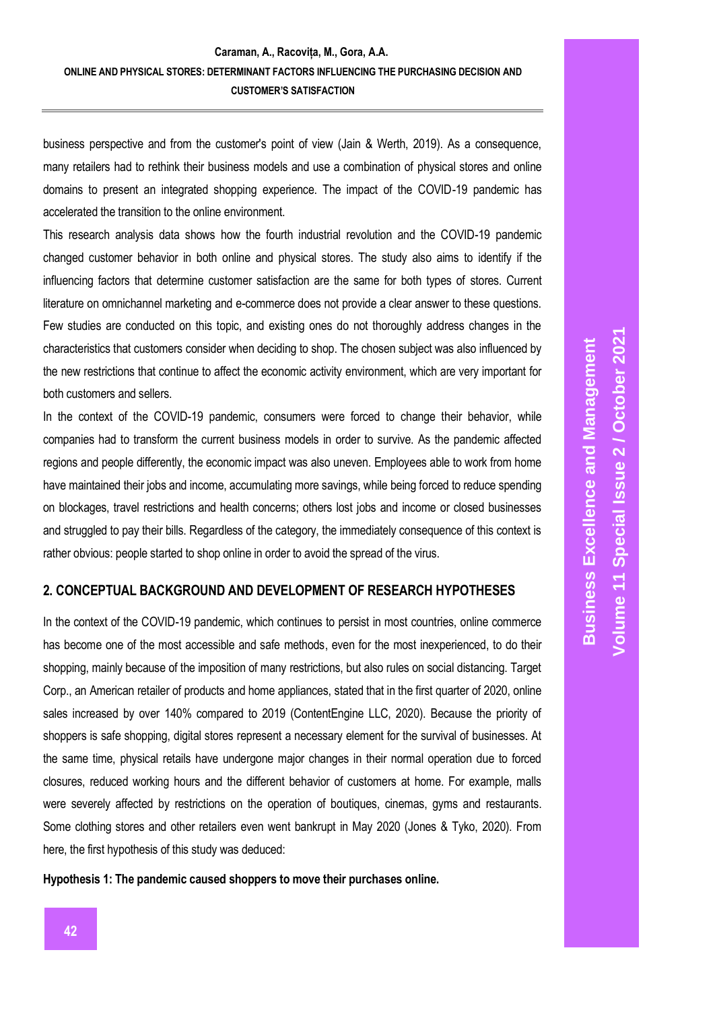business perspective and from the customer's point of view (Jain & Werth, 2019). As a consequence, many retailers had to rethink their business models and use a combination of physical stores and online domains to present an integrated shopping experience. The impact of the COVID-19 pandemic has accelerated the transition to the online environment.

This research analysis data shows how the fourth industrial revolution and the COVID-19 pandemic changed customer behavior in both online and physical stores. The study also aims to identify if the influencing factors that determine customer satisfaction are the same for both types of stores. Current literature on omnichannel marketing and e-commerce does not provide a clear answer to these questions. Few studies are conducted on this topic, and existing ones do not thoroughly address changes in the characteristics that customers consider when deciding to shop. The chosen subject was also influenced by the new restrictions that continue to affect the economic activity environment, which are very important for both customers and sellers.

In the context of the COVID-19 pandemic, consumers were forced to change their behavior, while companies had to transform the current business models in order to survive. As the pandemic affected regions and people differently, the economic impact was also uneven. Employees able to work from home have maintained their jobs and income, accumulating more savings, while being forced to reduce spending on blockages, travel restrictions and health concerns; others lost jobs and income or closed businesses and struggled to pay their bills. Regardless of the category, the immediately consequence of this context is rather obvious: people started to shop online in order to avoid the spread of the virus.

# **2. CONCEPTUAL BACKGROUND AND DEVELOPMENT OF RESEARCH HYPOTHESES**

In the context of the COVID-19 pandemic, which continues to persist in most countries, online commerce has become one of the most accessible and safe methods, even for the most inexperienced, to do their shopping, mainly because of the imposition of many restrictions, but also rules on social distancing. Target Corp., an American retailer of products and home appliances, stated that in the first quarter of 2020, online sales increased by over 140% compared to 2019 (ContentEngine LLC, 2020). Because the priority of shoppers is safe shopping, digital stores represent a necessary element for the survival of businesses. At the same time, physical retails have undergone major changes in their normal operation due to forced closures, reduced working hours and the different behavior of customers at home. For example, malls were severely affected by restrictions on the operation of boutiques, cinemas, gyms and restaurants. Some clothing stores and other retailers even went bankrupt in May 2020 (Jones & Tyko, 2020). From here, the first hypothesis of this study was deduced:

**Hypothesis 1: The pandemic caused shoppers to move their purchases online.**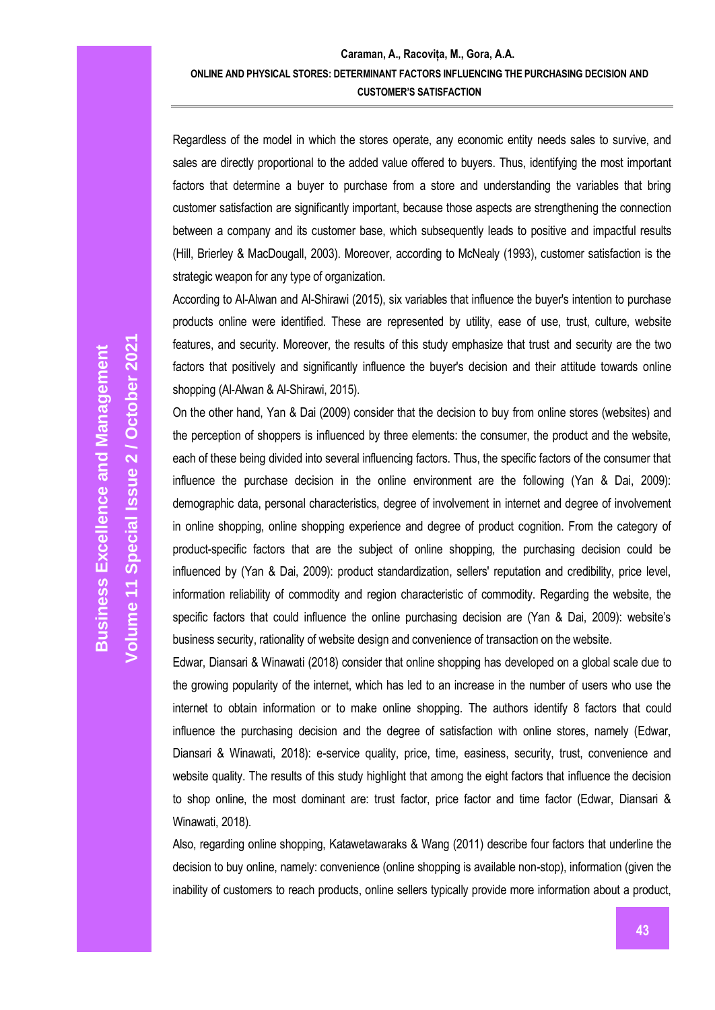Regardless of the model in which the stores operate, any economic entity needs sales to survive, and sales are directly proportional to the added value offered to buyers. Thus, identifying the most important factors that determine a buyer to purchase from a store and understanding the variables that bring customer satisfaction are significantly important, because those aspects are strengthening the connection between a company and its customer base, which subsequently leads to positive and impactful results (Hill, Brierley & MacDougall, 2003). Moreover, according to McNealy (1993), customer satisfaction is the strategic weapon for any type of organization.

According to Al-Alwan and Al-Shirawi (2015), six variables that influence the buyer's intention to purchase products online were identified. These are represented by utility, ease of use, trust, culture, website features, and security. Moreover, the results of this study emphasize that trust and security are the two factors that positively and significantly influence the buyer's decision and their attitude towards online shopping (Al-Alwan & Al-Shirawi, 2015).

On the other hand, Yan & Dai (2009) consider that the decision to buy from online stores (websites) and the perception of shoppers is influenced by three elements: the consumer, the product and the website, each of these being divided into several influencing factors. Thus, the specific factors of the consumer that influence the purchase decision in the online environment are the following (Yan & Dai, 2009): demographic data, personal characteristics, degree of involvement in internet and degree of involvement in online shopping, online shopping experience and degree of product cognition. From the category of product-specific factors that are the subject of online shopping, the purchasing decision could be influenced by (Yan & Dai, 2009): product standardization, sellers' reputation and credibility, price level, information reliability of commodity and region characteristic of commodity. Regarding the website, the specific factors that could influence the online purchasing decision are (Yan & Dai, 2009): website's business security, rationality of website design and convenience of transaction on the website.

Edwar, Diansari & Winawati (2018) consider that online shopping has developed on a global scale due to the growing popularity of the internet, which has led to an increase in the number of users who use the internet to obtain information or to make online shopping. The authors identify 8 factors that could influence the purchasing decision and the degree of satisfaction with online stores, namely (Edwar, Diansari & Winawati, 2018): e-service quality, price, time, easiness, security, trust, convenience and website quality. The results of this study highlight that among the eight factors that influence the decision to shop online, the most dominant are: trust factor, price factor and time factor (Edwar, Diansari & Winawati, 2018).

Also, regarding online shopping, Katawetawaraks & Wang (2011) describe four factors that underline the decision to buy online, namely: convenience (online shopping is available non-stop), information (given the inability of customers to reach products, online sellers typically provide more information about a product,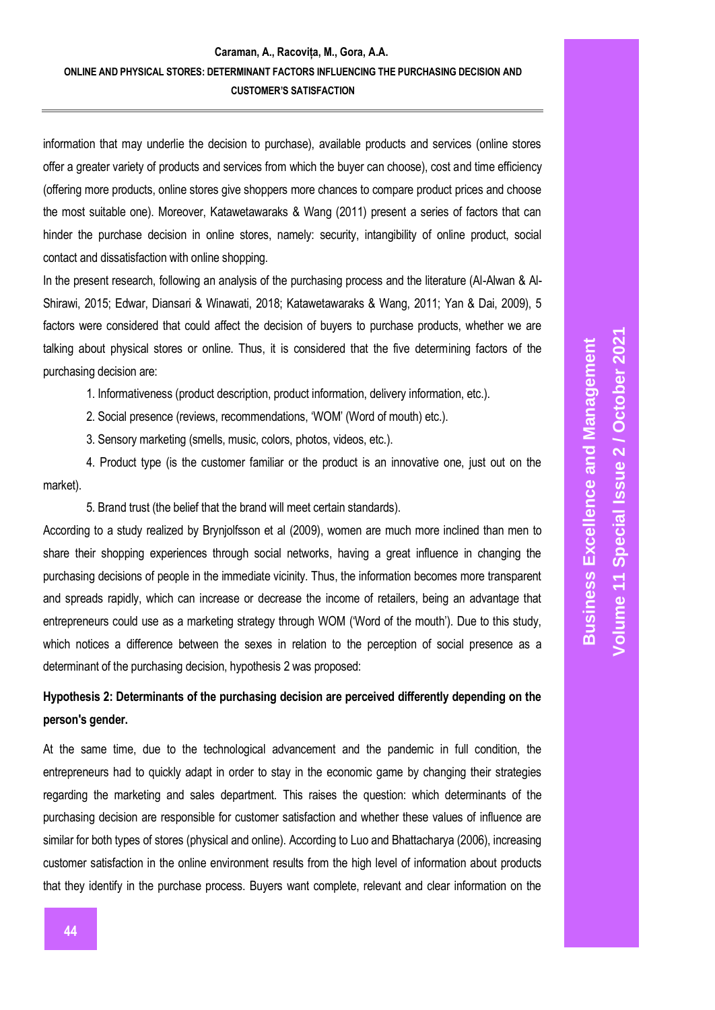information that may underlie the decision to purchase), available products and services (online stores offer a greater variety of products and services from which the buyer can choose), cost and time efficiency (offering more products, online stores give shoppers more chances to compare product prices and choose the most suitable one). Moreover, Katawetawaraks & Wang (2011) present a series of factors that can hinder the purchase decision in online stores, namely: security, intangibility of online product, social contact and dissatisfaction with online shopping.

In the present research, following an analysis of the purchasing process and the literature (Al-Alwan & Al-Shirawi, 2015; Edwar, Diansari & Winawati, 2018; Katawetawaraks & Wang, 2011; Yan & Dai, 2009), 5 factors were considered that could affect the decision of buyers to purchase products, whether we are talking about physical stores or online. Thus, it is considered that the five determining factors of the purchasing decision are:

1. Informativeness (product description, product information, delivery information, etc.).

2. Social presence (reviews, recommendations, 'WOM' (Word of mouth) etc.).

3. Sensory marketing (smells, music, colors, photos, videos, etc.).

4. Product type (is the customer familiar or the product is an innovative one, just out on the market).

5. Brand trust (the belief that the brand will meet certain standards).

According to a study realized by Brynjolfsson et al (2009), women are much more inclined than men to share their shopping experiences through social networks, having a great influence in changing the purchasing decisions of people in the immediate vicinity. Thus, the information becomes more transparent and spreads rapidly, which can increase or decrease the income of retailers, being an advantage that entrepreneurs could use as a marketing strategy through WOM ('Word of the mouth'). Due to this study, which notices a difference between the sexes in relation to the perception of social presence as a determinant of the purchasing decision, hypothesis 2 was proposed:

# **Hypothesis 2: Determinants of the purchasing decision are perceived differently depending on the person's gender.**

At the same time, due to the technological advancement and the pandemic in full condition, the entrepreneurs had to quickly adapt in order to stay in the economic game by changing their strategies regarding the marketing and sales department. This raises the question: which determinants of the purchasing decision are responsible for customer satisfaction and whether these values of influence are similar for both types of stores (physical and online). According to Luo and Bhattacharya (2006), increasing customer satisfaction in the online environment results from the high level of information about products that they identify in the purchase process. Buyers want complete, relevant and clear information on the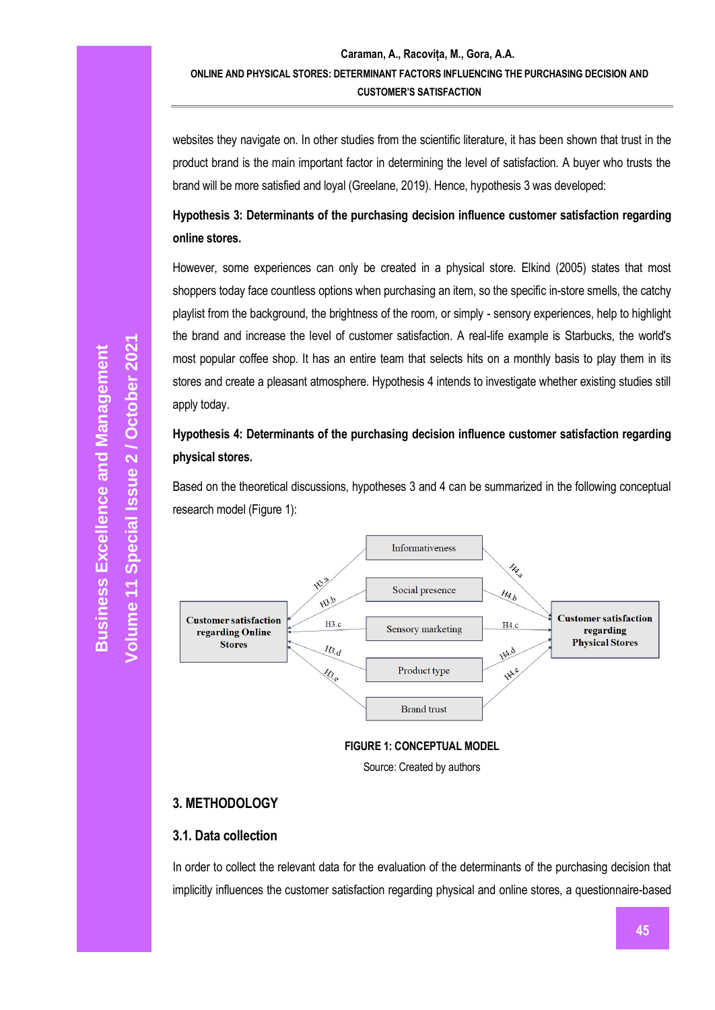websites they navigate on. In other studies from the scientific literature, it has been shown that trust in the product brand is the main important factor in determining the level of satisfaction. A buyer who trusts the brand will be more satisfied and loyal (Greelane, 2019). Hence, hypothesis 3 was developed:

# **Hypothesis 3: Determinants of the purchasing decision influence customer satisfaction regarding online stores.**

However, some experiences can only be created in a physical store. Elkind (2005) states that most shoppers today face countless options when purchasing an item, so the specific in-store smells, the catchy playlist from the background, the brightness of the room, or simply - sensory experiences, help to highlight the brand and increase the level of customer satisfaction. A real-life example is Starbucks, the world's most popular coffee shop. It has an entire team that selects hits on a monthly basis to play them in its stores and create a pleasant atmosphere. Hypothesis 4 intends to investigate whether existing studies still apply today.

**Hypothesis 4: Determinants of the purchasing decision influence customer satisfaction regarding physical stores.**

Based on the theoretical discussions, hypotheses 3 and 4 can be summarized in the following conceptual research model (Figure 1):



**FIGURE 1: CONCEPTUAL MODEL**

Source: Created by authors

### **3. METHODOLOGY**

### **3.1. Data collection**

In order to collect the relevant data for the evaluation of the determinants of the purchasing decision that implicitly influences the customer satisfaction regarding physical and online stores, a questionnaire-based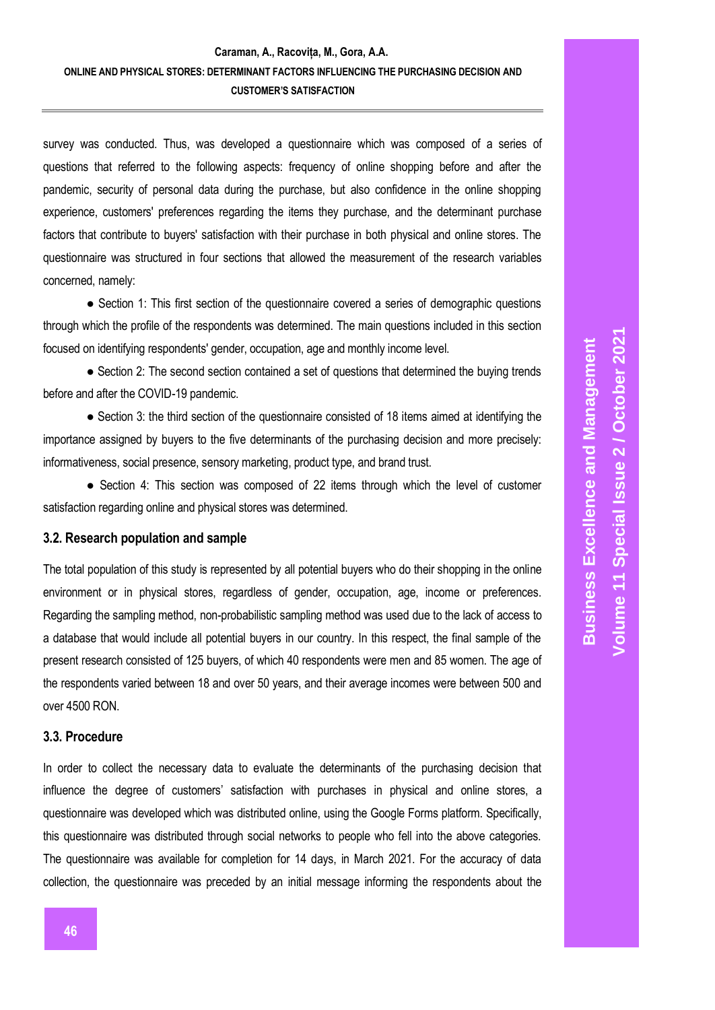survey was conducted. Thus, was developed a questionnaire which was composed of a series of questions that referred to the following aspects: frequency of online shopping before and after the pandemic, security of personal data during the purchase, but also confidence in the online shopping experience, customers' preferences regarding the items they purchase, and the determinant purchase factors that contribute to buyers' satisfaction with their purchase in both physical and online stores. The questionnaire was structured in four sections that allowed the measurement of the research variables concerned, namely:

• Section 1: This first section of the questionnaire covered a series of demographic questions through which the profile of the respondents was determined. The main questions included in this section focused on identifying respondents' gender, occupation, age and monthly income level.

• Section 2: The second section contained a set of questions that determined the buying trends before and after the COVID-19 pandemic.

● Section 3: the third section of the questionnaire consisted of 18 items aimed at identifying the importance assigned by buyers to the five determinants of the purchasing decision and more precisely: informativeness, social presence, sensory marketing, product type, and brand trust.

• Section 4: This section was composed of 22 items through which the level of customer satisfaction regarding online and physical stores was determined.

#### **3.2. Research population and sample**

The total population of this study is represented by all potential buyers who do their shopping in the online environment or in physical stores, regardless of gender, occupation, age, income or preferences. Regarding the sampling method, non-probabilistic sampling method was used due to the lack of access to a database that would include all potential buyers in our country. In this respect, the final sample of the present research consisted of 125 buyers, of which 40 respondents were men and 85 women. The age of the respondents varied between 18 and over 50 years, and their average incomes were between 500 and over 4500 RON.

#### **3.3. Procedure**

In order to collect the necessary data to evaluate the determinants of the purchasing decision that influence the degree of customers' satisfaction with purchases in physical and online stores, a questionnaire was developed which was distributed online, using the Google Forms platform. Specifically, this questionnaire was distributed through social networks to people who fell into the above categories. The questionnaire was available for completion for 14 days, in March 2021. For the accuracy of data collection, the questionnaire was preceded by an initial message informing the respondents about the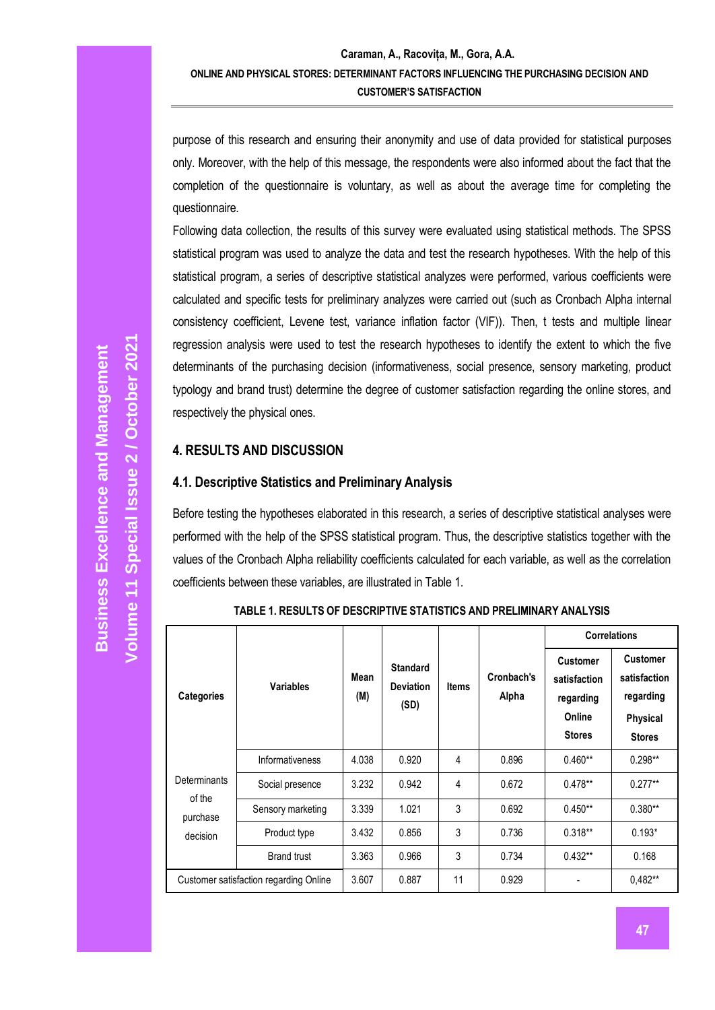purpose of this research and ensuring their anonymity and use of data provided for statistical purposes only. Moreover, with the help of this message, the respondents were also informed about the fact that the completion of the questionnaire is voluntary, as well as about the average time for completing the questionnaire.

Following data collection, the results of this survey were evaluated using statistical methods. The SPSS statistical program was used to analyze the data and test the research hypotheses. With the help of this statistical program, a series of descriptive statistical analyzes were performed, various coefficients were calculated and specific tests for preliminary analyzes were carried out (such as Cronbach Alpha internal consistency coefficient, Levene test, variance inflation factor (VIF)). Then, t tests and multiple linear regression analysis were used to test the research hypotheses to identify the extent to which the five determinants of the purchasing decision (informativeness, social presence, sensory marketing, product typology and brand trust) determine the degree of customer satisfaction regarding the online stores, and respectively the physical ones.

#### **4. RESULTS AND DISCUSSION**

#### **4.1. Descriptive Statistics and Preliminary Analysis**

Before testing the hypotheses elaborated in this research, a series of descriptive statistical analyses were performed with the help of the SPSS statistical program. Thus, the descriptive statistics together with the values of the Cronbach Alpha reliability coefficients calculated for each variable, as well as the correlation coefficients between these variables, are illustrated in Table 1.

|                               |                                        |                    |                                             |              |                     | <b>Correlations</b>                                                     |                                                                                  |  |
|-------------------------------|----------------------------------------|--------------------|---------------------------------------------|--------------|---------------------|-------------------------------------------------------------------------|----------------------------------------------------------------------------------|--|
| <b>Categories</b>             | <b>Variables</b>                       | <b>Mean</b><br>(M) | <b>Standard</b><br><b>Deviation</b><br>(SD) | <b>Items</b> | Cronbach's<br>Alpha | <b>Customer</b><br>satisfaction<br>regarding<br>Online<br><b>Stores</b> | <b>Customer</b><br>satisfaction<br>regarding<br><b>Physical</b><br><b>Stores</b> |  |
|                               | Informativeness                        | 4.038              | 0.920                                       | 4            | 0.896               | $0.460**$                                                               | $0.298**$                                                                        |  |
| <b>Determinants</b><br>of the | Social presence                        | 3.232              | 0.942                                       | 4            | 0.672               | $0.478**$                                                               | $0.277**$                                                                        |  |
| purchase                      | Sensory marketing                      | 3.339              | 1.021                                       | 3            | 0.692               | $0.450**$                                                               | $0.380**$                                                                        |  |
| decision                      | Product type                           | 3.432              | 0.856                                       | 3            | 0.736               | $0.318**$                                                               | $0.193*$                                                                         |  |
|                               | <b>Brand trust</b>                     | 3.363              | 0.966                                       | 3            | 0.734               | $0.432**$                                                               | 0.168                                                                            |  |
|                               | Customer satisfaction regarding Online | 3.607              | 0.887                                       | 11           | 0.929               |                                                                         | $0.482**$                                                                        |  |

**TABLE 1. RESULTS OF DESCRIPTIVE STATISTICS AND PRELIMINARY ANALYSIS**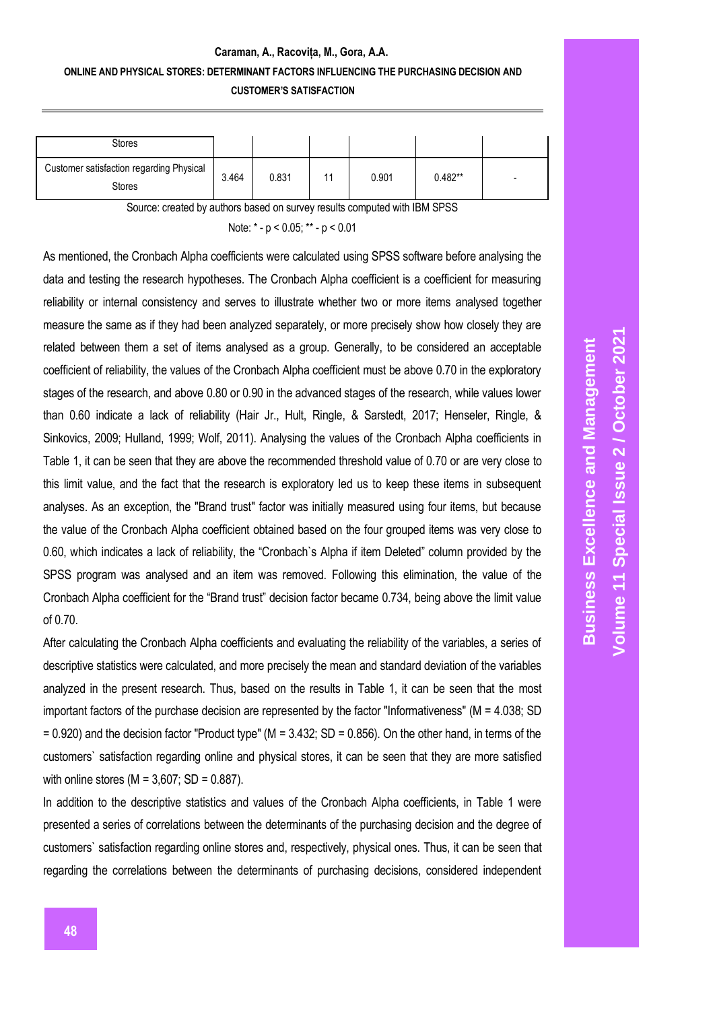### **Caraman, A., Racovița, M., Gora, A.A. ONLINE AND PHYSICAL STORES: DETERMINANT FACTORS INFLUENCING THE PURCHASING DECISION AND CUSTOMER'S SATISFACTION**

| Stores                                             |       |       |    |       |           |  |
|----------------------------------------------------|-------|-------|----|-------|-----------|--|
| Customer satisfaction regarding Physical<br>Stores | 3.464 | 0.831 | 11 | 0.901 | $0.482**$ |  |

Source: created by authors based on survey results computed with IBM SPSS

Note: \* - p < 0.05; \*\* - p < 0.01

As mentioned, the Cronbach Alpha coefficients were calculated using SPSS software before analysing the data and testing the research hypotheses. The Cronbach Alpha coefficient is a coefficient for measuring reliability or internal consistency and serves to illustrate whether two or more items analysed together measure the same as if they had been analyzed separately, or more precisely show how closely they are related between them a set of items analysed as a group. Generally, to be considered an acceptable coefficient of reliability, the values of the Cronbach Alpha coefficient must be above 0.70 in the exploratory stages of the research, and above 0.80 or 0.90 in the advanced stages of the research, while values lower than 0.60 indicate a lack of reliability (Hair Jr., Hult, Ringle, & Sarstedt, 2017; Henseler, Ringle, & Sinkovics, 2009; Hulland, 1999; Wolf, 2011). Analysing the values of the Cronbach Alpha coefficients in Table 1, it can be seen that they are above the recommended threshold value of 0.70 or are very close to this limit value, and the fact that the research is exploratory led us to keep these items in subsequent analyses. As an exception, the "Brand trust" factor was initially measured using four items, but because the value of the Cronbach Alpha coefficient obtained based on the four grouped items was very close to 0.60, which indicates a lack of reliability, the "Cronbach`s Alpha if item Deleted" column provided by the SPSS program was analysed and an item was removed. Following this elimination, the value of the Cronbach Alpha coefficient for the "Brand trust" decision factor became 0.734, being above the limit value of 0.70.

After calculating the Cronbach Alpha coefficients and evaluating the reliability of the variables, a series of descriptive statistics were calculated, and more precisely the mean and standard deviation of the variables analyzed in the present research. Thus, based on the results in Table 1, it can be seen that the most important factors of the purchase decision are represented by the factor "Informativeness" (M = 4.038; SD  $= 0.920$ ) and the decision factor "Product type" (M = 3.432; SD = 0.856). On the other hand, in terms of the customers` satisfaction regarding online and physical stores, it can be seen that they are more satisfied with online stores ( $M = 3,607$ ; SD = 0.887).

In addition to the descriptive statistics and values of the Cronbach Alpha coefficients, in Table 1 were presented a series of correlations between the determinants of the purchasing decision and the degree of customers` satisfaction regarding online stores and, respectively, physical ones. Thus, it can be seen that regarding the correlations between the determinants of purchasing decisions, considered independent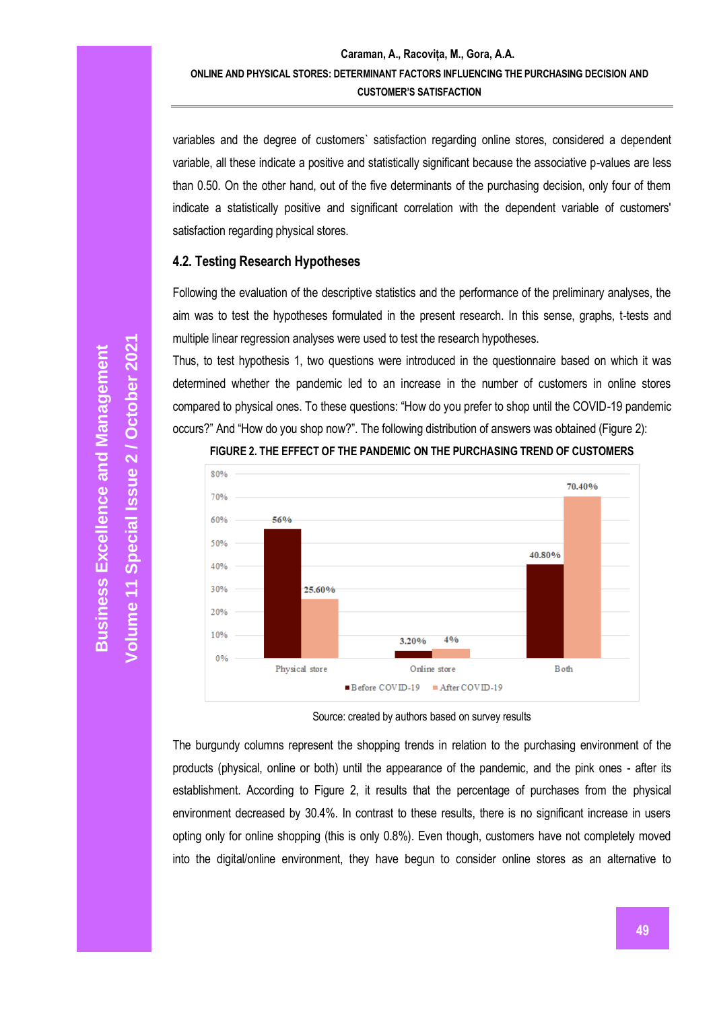variables and the degree of customers` satisfaction regarding online stores, considered a dependent variable, all these indicate a positive and statistically significant because the associative p-values are less than 0.50. On the other hand, out of the five determinants of the purchasing decision, only four of them indicate a statistically positive and significant correlation with the dependent variable of customers' satisfaction regarding physical stores.

#### **4.2. Testing Research Hypotheses**

Following the evaluation of the descriptive statistics and the performance of the preliminary analyses, the aim was to test the hypotheses formulated in the present research. In this sense, graphs, t-tests and multiple linear regression analyses were used to test the research hypotheses.

Thus, to test hypothesis 1, two questions were introduced in the questionnaire based on which it was determined whether the pandemic led to an increase in the number of customers in online stores compared to physical ones. To these questions: "How do you prefer to shop until the COVID-19 pandemic occurs?" And "How do you shop now?". The following distribution of answers was obtained (Figure 2):



#### **FIGURE 2. THE EFFECT OF THE PANDEMIC ON THE PURCHASING TREND OF CUSTOMERS**

Source: created by authors based on survey results

The burgundy columns represent the shopping trends in relation to the purchasing environment of the products (physical, online or both) until the appearance of the pandemic, and the pink ones - after its establishment. According to Figure 2, it results that the percentage of purchases from the physical environment decreased by 30.4%. In contrast to these results, there is no significant increase in users opting only for online shopping (this is only 0.8%). Even though, customers have not completely moved into the digital/online environment, they have begun to consider online stores as an alternative to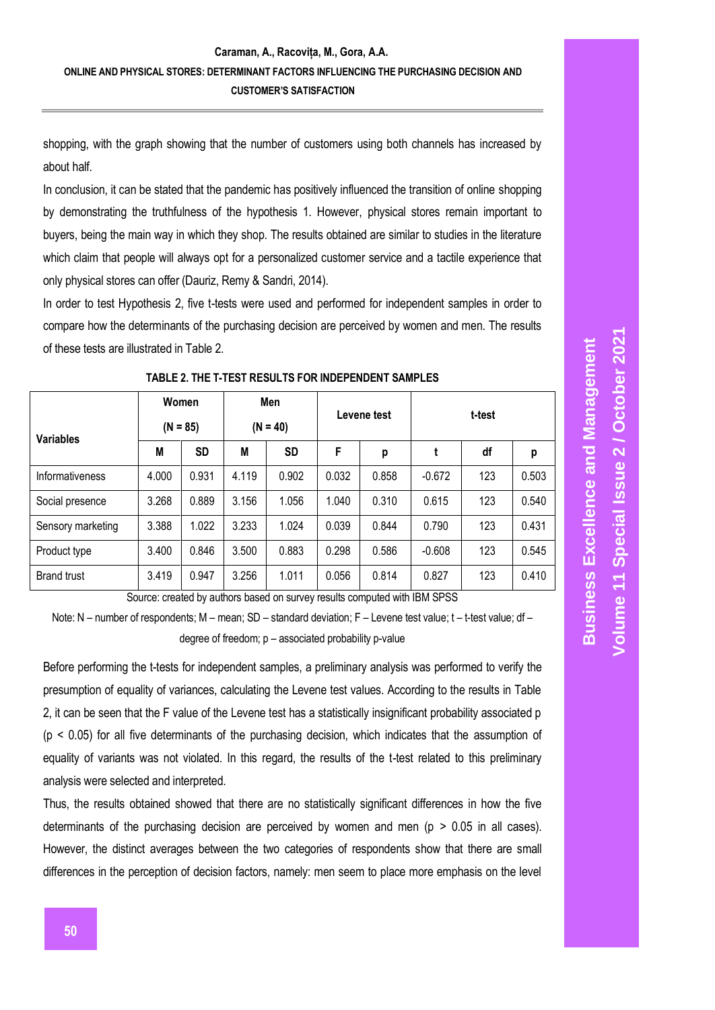shopping, with the graph showing that the number of customers using both channels has increased by about half.

In conclusion, it can be stated that the pandemic has positively influenced the transition of online shopping by demonstrating the truthfulness of the hypothesis 1. However, physical stores remain important to buyers, being the main way in which they shop. The results obtained are similar to studies in the literature which claim that people will always opt for a personalized customer service and a tactile experience that only physical stores can offer (Dauriz, Remy & Sandri, 2014).

In order to test Hypothesis 2, five t-tests were used and performed for independent samples in order to compare how the determinants of the purchasing decision are perceived by women and men. The results of these tests are illustrated in Table 2.

|                    | Women      |           | Men        |           |       | Levene test | t-test   |     |       |  |
|--------------------|------------|-----------|------------|-----------|-------|-------------|----------|-----|-------|--|
| <b>Variables</b>   | $(N = 85)$ |           | $(N = 40)$ |           |       |             |          |     |       |  |
|                    | M          | <b>SD</b> | M          | <b>SD</b> | F     | p           | t        | df  | p     |  |
| Informativeness    | 4.000      | 0.931     | 4.119      | 0.902     | 0.032 | 0.858       | $-0.672$ | 123 | 0.503 |  |
| Social presence    | 3.268      | 0.889     | 3.156      | 1.056     | 1.040 | 0.310       | 0.615    | 123 | 0.540 |  |
| Sensory marketing  | 3.388      | 1.022     | 3.233      | 1.024     | 0.039 | 0.844       | 0.790    | 123 | 0.431 |  |
| Product type       | 3.400      | 0.846     | 3.500      | 0.883     | 0.298 | 0.586       | $-0.608$ | 123 | 0.545 |  |
| <b>Brand trust</b> | 3.419      | 0.947     | 3.256      | 1.011     | 0.056 | 0.814       | 0.827    | 123 | 0.410 |  |
|                    |            |           |            |           |       |             |          |     |       |  |

**TABLE 2. THE T-TEST RESULTS FOR INDEPENDENT SAMPLES**

Source: created by authors based on survey results computed with IBM SPSS

Note: N – number of respondents; M – mean; SD – standard deviation; F – Levene test value; t – t-test value; df – degree of freedom; p – associated probability p-value

Before performing the t-tests for independent samples, a preliminary analysis was performed to verify the presumption of equality of variances, calculating the Levene test values. According to the results in Table 2, it can be seen that the F value of the Levene test has a statistically insignificant probability associated p  $(p < 0.05)$  for all five determinants of the purchasing decision, which indicates that the assumption of equality of variants was not violated. In this regard, the results of the t-test related to this preliminary analysis were selected and interpreted.

Thus, the results obtained showed that there are no statistically significant differences in how the five determinants of the purchasing decision are perceived by women and men ( $p > 0.05$  in all cases). However, the distinct averages between the two categories of respondents show that there are small differences in the perception of decision factors, namely: men seem to place more emphasis on the level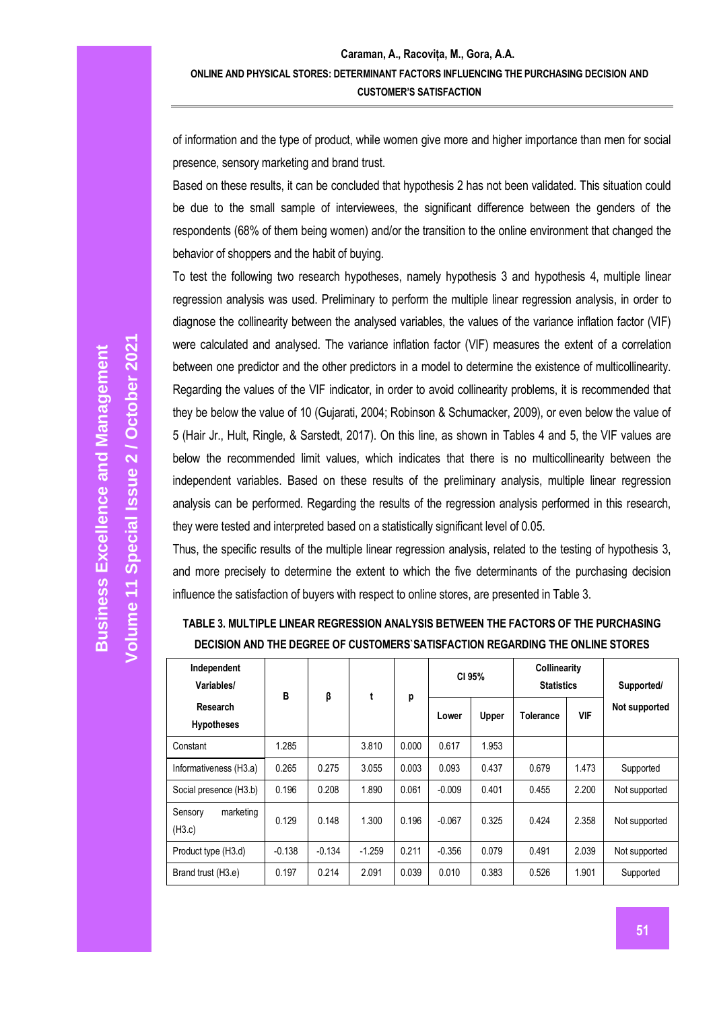of information and the type of product, while women give more and higher importance than men for social presence, sensory marketing and brand trust.

Based on these results, it can be concluded that hypothesis 2 has not been validated. This situation could be due to the small sample of interviewees, the significant difference between the genders of the respondents (68% of them being women) and/or the transition to the online environment that changed the behavior of shoppers and the habit of buying.

To test the following two research hypotheses, namely hypothesis 3 and hypothesis 4, multiple linear regression analysis was used. Preliminary to perform the multiple linear regression analysis, in order to diagnose the collinearity between the analysed variables, the values of the variance inflation factor (VIF) were calculated and analysed. The variance inflation factor (VIF) measures the extent of a correlation between one predictor and the other predictors in a model to determine the existence of multicollinearity. Regarding the values of the VIF indicator, in order to avoid collinearity problems, it is recommended that they be below the value of 10 (Gujarati, 2004; Robinson & Schumacker, 2009), or even below the value of 5 (Hair Jr., Hult, Ringle, & Sarstedt, 2017). On this line, as shown in Tables 4 and 5, the VIF values are below the recommended limit values, which indicates that there is no multicollinearity between the independent variables. Based on these results of the preliminary analysis, multiple linear regression analysis can be performed. Regarding the results of the regression analysis performed in this research, they were tested and interpreted based on a statistically significant level of 0.05.

Thus, the specific results of the multiple linear regression analysis, related to the testing of hypothesis 3, and more precisely to determine the extent to which the five determinants of the purchasing decision influence the satisfaction of buyers with respect to online stores, are presented in Table 3.

| TABLE 3. MULTIPLE LINEAR REGRESSION ANALYSIS BETWEEN THE FACTORS OF THE PURCHASING |
|------------------------------------------------------------------------------------|
| DECISION AND THE DEGREE OF CUSTOMERS SATISFACTION REGARDING THE ONLINE STORES      |

| Independent<br>Variables/      | B        | β        |          |       | CI 95%   |       | Collinearity<br><b>Statistics</b> |            | Supported/    |
|--------------------------------|----------|----------|----------|-------|----------|-------|-----------------------------------|------------|---------------|
| Research<br><b>Hypotheses</b>  |          |          |          | p     | Lower    | Upper | Tolerance                         | <b>VIF</b> | Not supported |
| Constant                       | 1.285    |          | 3.810    | 0.000 | 0.617    | 1.953 |                                   |            |               |
| Informativeness (H3.a)         | 0.265    | 0.275    | 3.055    | 0.003 | 0.093    | 0.437 | 0.679                             | 1.473      | Supported     |
| Social presence (H3.b)         | 0.196    | 0.208    | 1.890    | 0.061 | $-0.009$ | 0.401 | 0.455                             | 2.200      | Not supported |
| Sensory<br>marketing<br>(H3.c) | 0.129    | 0.148    | 1.300    | 0.196 | $-0.067$ | 0.325 | 0.424                             | 2.358      | Not supported |
| Product type (H3.d)            | $-0.138$ | $-0.134$ | $-1.259$ | 0.211 | $-0.356$ | 0.079 | 0.491                             | 2.039      | Not supported |
| Brand trust (H3.e)             | 0.197    | 0.214    | 2.091    | 0.039 | 0.010    | 0.383 | 0.526                             | 1.901      | Supported     |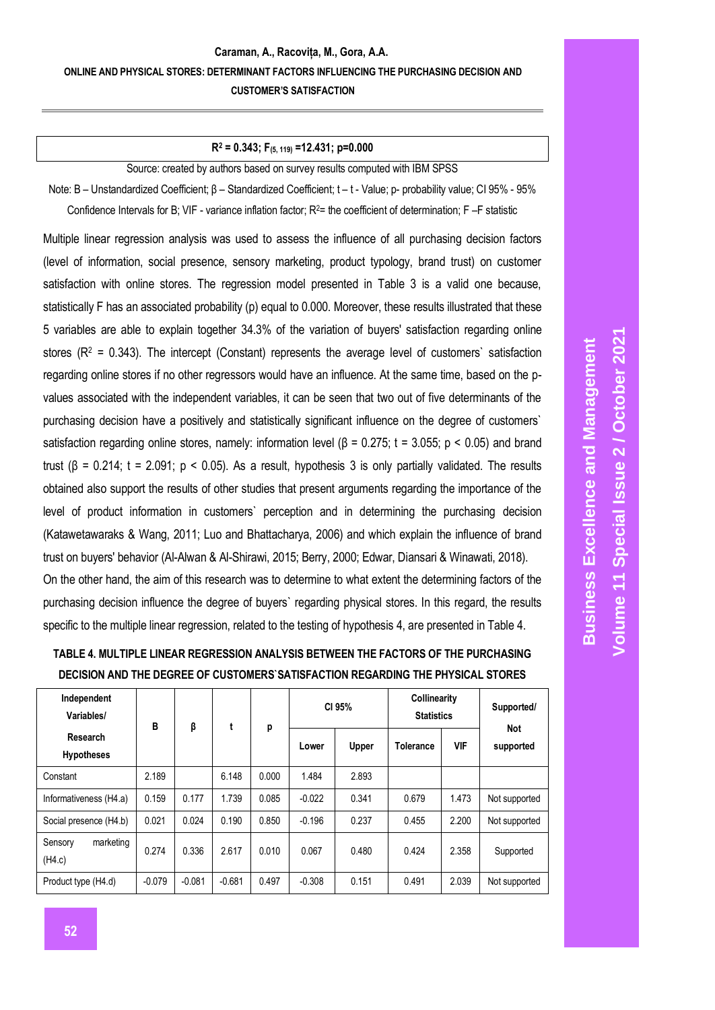#### **Caraman, A., Racovița, M., Gora, A.A. ONLINE AND PHYSICAL STORES: DETERMINANT FACTORS INFLUENCING THE PURCHASING DECISION AND CUSTOMER'S SATISFACTION**

#### **R<sup>2</sup> = 0.343; F(5, 119) =12.431; p=0.000**

Source: created by authors based on survey results computed with IBM SPSS

Note: B – Unstandardized Coefficient; β – Standardized Coefficient; t – t - Value; p- probability value; CI 95% - 95% Confidence Intervals for B; VIF - variance inflation factor; R<sup>2</sup>= the coefficient of determination; F –F statistic

Multiple linear regression analysis was used to assess the influence of all purchasing decision factors (level of information, social presence, sensory marketing, product typology, brand trust) on customer satisfaction with online stores. The regression model presented in Table 3 is a valid one because, statistically F has an associated probability (p) equal to 0.000. Moreover, these results illustrated that these 5 variables are able to explain together 34.3% of the variation of buyers' satisfaction regarding online stores ( $R^2$  = 0.343). The intercept (Constant) represents the average level of customers' satisfaction regarding online stores if no other regressors would have an influence. At the same time, based on the pvalues associated with the independent variables, it can be seen that two out of five determinants of the purchasing decision have a positively and statistically significant influence on the degree of customers` satisfaction regarding online stores, namely: information level ( $\beta$  = 0.275; t = 3.055; p < 0.05) and brand trust (β = 0.214; t = 2.091; p < 0.05). As a result, hypothesis 3 is only partially validated. The results obtained also support the results of other studies that present arguments regarding the importance of the level of product information in customers` perception and in determining the purchasing decision (Katawetawaraks & Wang, 2011; Luo and Bhattacharya, 2006) and which explain the influence of brand trust on buyers' behavior (Al-Alwan & Al-Shirawi, 2015; Berry, 2000; Edwar, Diansari & Winawati, 2018). On the other hand, the aim of this research was to determine to what extent the determining factors of the purchasing decision influence the degree of buyers` regarding physical stores. In this regard, the results specific to the multiple linear regression, related to the testing of hypothesis 4, are presented in Table 4.

# **TABLE 4. MULTIPLE LINEAR REGRESSION ANALYSIS BETWEEN THE FACTORS OF THE PURCHASING DECISION AND THE DEGREE OF CUSTOMERS`SATISFACTION REGARDING THE PHYSICAL STORES**

| Independent<br>Variables/      | B        | β        | t        | p     |          | <b>Collinearity</b><br>CI 95%<br><b>Statistics</b> |                  | Supported/<br><b>Not</b> |               |
|--------------------------------|----------|----------|----------|-------|----------|----------------------------------------------------|------------------|--------------------------|---------------|
| Research<br><b>Hypotheses</b>  |          |          |          |       | Lower    | Upper                                              | <b>Tolerance</b> | <b>VIF</b>               | supported     |
| Constant                       | 2.189    |          | 6.148    | 0.000 | 1.484    | 2.893                                              |                  |                          |               |
| Informativeness (H4.a)         | 0.159    | 0.177    | 1.739    | 0.085 | $-0.022$ | 0.341                                              | 0.679            | 1.473                    | Not supported |
| Social presence (H4.b)         | 0.021    | 0.024    | 0.190    | 0.850 | $-0.196$ | 0.237                                              | 0.455            | 2.200                    | Not supported |
| marketing<br>Sensory<br>(H4.c) | 0.274    | 0.336    | 2.617    | 0.010 | 0.067    | 0.480                                              | 0.424            | 2.358                    | Supported     |
| Product type (H4.d)            | $-0.079$ | $-0.081$ | $-0.681$ | 0.497 | $-0.308$ | 0.151                                              | 0.491            | 2.039                    | Not supported |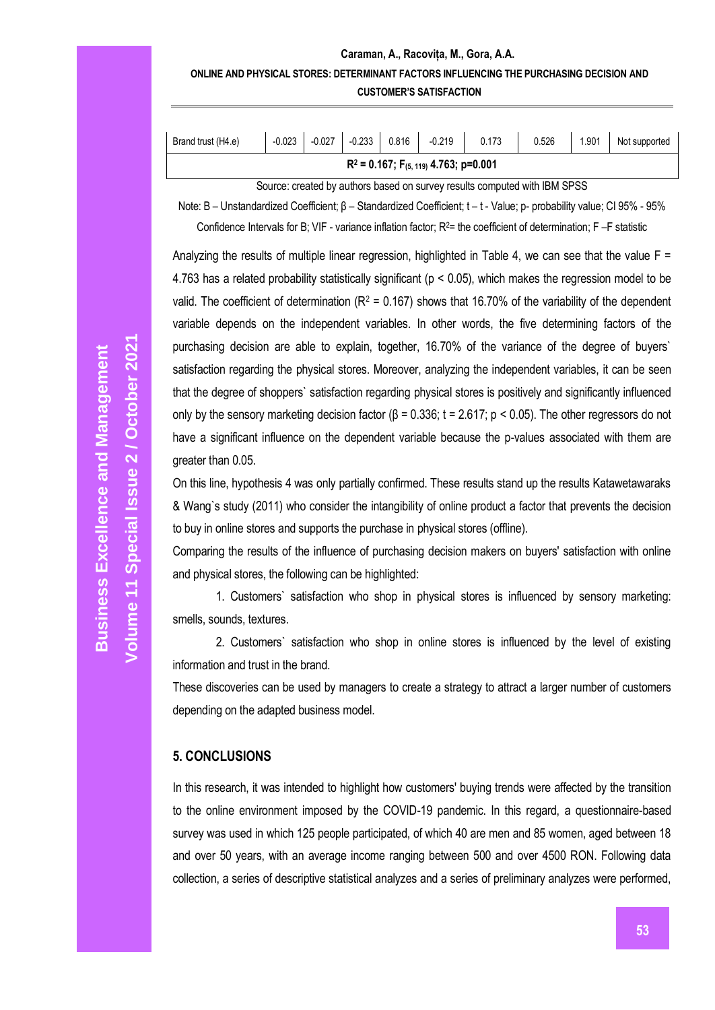#### **Caraman, A., Racovița, M., Gora, A.A. ONLINE AND PHYSICAL STORES: DETERMINANT FACTORS INFLUENCING THE PURCHASING DECISION AND CUSTOMER'S SATISFACTION**

| $\vert$ -0.027 $\vert$ -0.233 $\vert$ 0.816 $\vert$ -0.219 $\vert$<br>0.173<br>0.526<br>$-0.023$<br>Brand trust (H4.e) | 1.901 | Not supported |
|------------------------------------------------------------------------------------------------------------------------|-------|---------------|

Source: created by authors based on survey results computed with IBM SPSS

Note: B – Unstandardized Coefficient; β – Standardized Coefficient; t – t - Value; p- probability value; CI 95% - 95%

Confidence Intervals for B; VIF - variance inflation factor;  $R<sup>2</sup>$  = the coefficient of determination; F -F statistic

Analyzing the results of multiple linear regression, highlighted in Table 4, we can see that the value  $F =$ 4.763 has a related probability statistically significant (p < 0.05), which makes the regression model to be valid. The coefficient of determination ( $R^2$  = 0.167) shows that 16.70% of the variability of the dependent variable depends on the independent variables. In other words, the five determining factors of the purchasing decision are able to explain, together, 16.70% of the variance of the degree of buyers` satisfaction regarding the physical stores. Moreover, analyzing the independent variables, it can be seen that the degree of shoppers` satisfaction regarding physical stores is positively and significantly influenced only by the sensory marketing decision factor (β = 0.336; t = 2.617; p < 0.05). The other regressors do not have a significant influence on the dependent variable because the p-values associated with them are greater than 0.05.

On this line, hypothesis 4 was only partially confirmed. These results stand up the results Katawetawaraks & Wang`s study (2011) who consider the intangibility of online product a factor that prevents the decision to buy in online stores and supports the purchase in physical stores (offline).

Comparing the results of the influence of purchasing decision makers on buyers' satisfaction with online and physical stores, the following can be highlighted:

1. Customers` satisfaction who shop in physical stores is influenced by sensory marketing: smells, sounds, textures.

2. Customers` satisfaction who shop in online stores is influenced by the level of existing information and trust in the brand.

These discoveries can be used by managers to create a strategy to attract a larger number of customers depending on the adapted business model.

## **5. CONCLUSIONS**

In this research, it was intended to highlight how customers' buying trends were affected by the transition to the online environment imposed by the COVID-19 pandemic. In this regard, a questionnaire-based survey was used in which 125 people participated, of which 40 are men and 85 women, aged between 18 and over 50 years, with an average income ranging between 500 and over 4500 RON. Following data collection, a series of descriptive statistical analyzes and a series of preliminary analyzes were performed,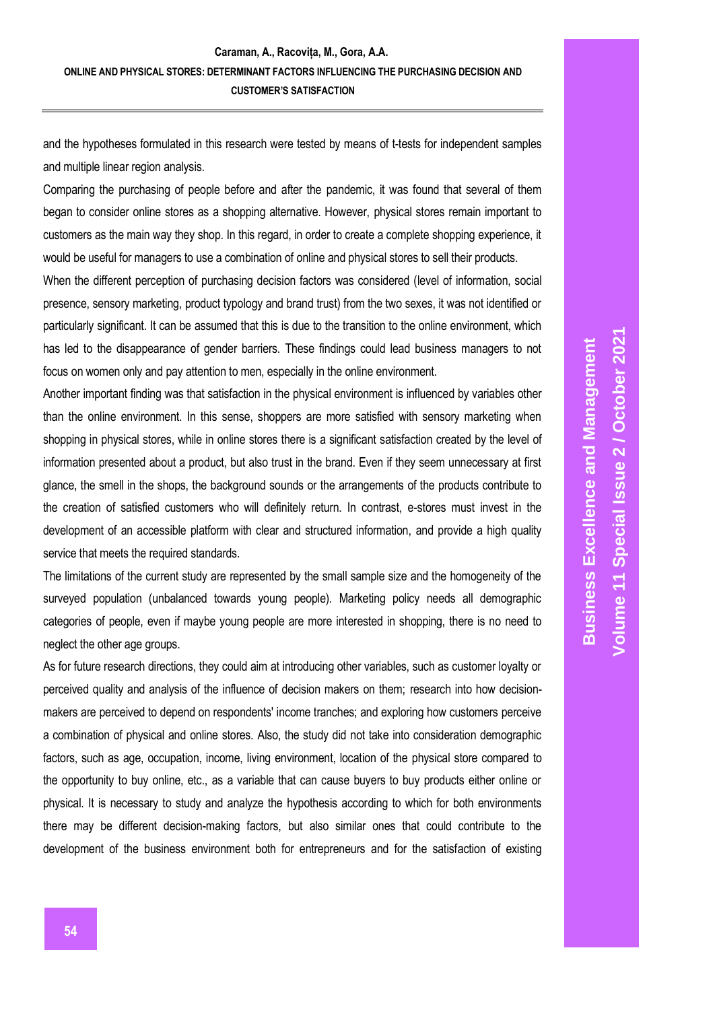and the hypotheses formulated in this research were tested by means of t-tests for independent samples and multiple linear region analysis.

Comparing the purchasing of people before and after the pandemic, it was found that several of them began to consider online stores as a shopping alternative. However, physical stores remain important to customers as the main way they shop. In this regard, in order to create a complete shopping experience, it would be useful for managers to use a combination of online and physical stores to sell their products.

When the different perception of purchasing decision factors was considered (level of information, social presence, sensory marketing, product typology and brand trust) from the two sexes, it was not identified or particularly significant. It can be assumed that this is due to the transition to the online environment, which has led to the disappearance of gender barriers. These findings could lead business managers to not focus on women only and pay attention to men, especially in the online environment.

Another important finding was that satisfaction in the physical environment is influenced by variables other than the online environment. In this sense, shoppers are more satisfied with sensory marketing when shopping in physical stores, while in online stores there is a significant satisfaction created by the level of information presented about a product, but also trust in the brand. Even if they seem unnecessary at first glance, the smell in the shops, the background sounds or the arrangements of the products contribute to the creation of satisfied customers who will definitely return. In contrast, e-stores must invest in the development of an accessible platform with clear and structured information, and provide a high quality service that meets the required standards.

The limitations of the current study are represented by the small sample size and the homogeneity of the surveyed population (unbalanced towards young people). Marketing policy needs all demographic categories of people, even if maybe young people are more interested in shopping, there is no need to neglect the other age groups.

As for future research directions, they could aim at introducing other variables, such as customer loyalty or perceived quality and analysis of the influence of decision makers on them; research into how decisionmakers are perceived to depend on respondents' income tranches; and exploring how customers perceive a combination of physical and online stores. Also, the study did not take into consideration demographic factors, such as age, occupation, income, living environment, location of the physical store compared to the opportunity to buy online, etc., as a variable that can cause buyers to buy products either online or physical. It is necessary to study and analyze the hypothesis according to which for both environments there may be different decision-making factors, but also similar ones that could contribute to the development of the business environment both for entrepreneurs and for the satisfaction of existing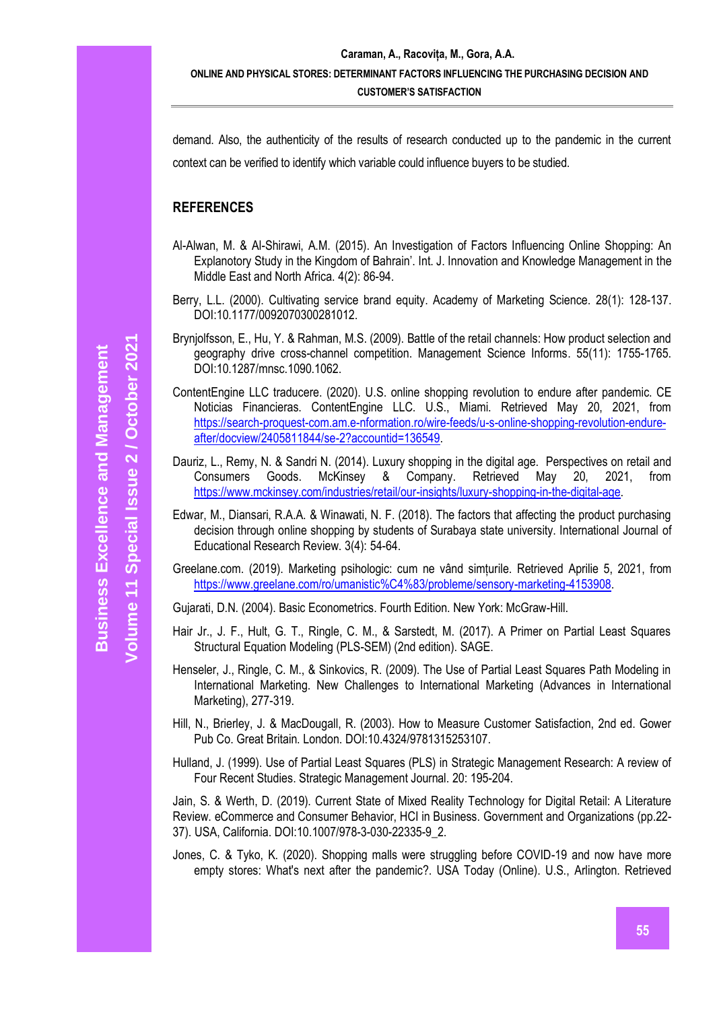demand. Also, the authenticity of the results of research conducted up to the pandemic in the current context can be verified to identify which variable could influence buyers to be studied.

#### **REFERENCES**

- Al-Alwan, M. & Al-Shirawi, A.M. (2015). An Investigation of Factors Influencing Online Shopping: An Explanotory Study in the Kingdom of Bahrain'. Int. J. Innovation and Knowledge Management in the Middle East and North Africa. 4(2): 86-94.
- Berry, L.L. (2000). Cultivating service brand equity. Academy of Marketing Science. 28(1): 128-137. DOI:10.1177/0092070300281012.
- Brynjolfsson, E., Hu, Y. & Rahman, M.S. (2009). Battle of the retail channels: How product selection and geography drive cross-channel competition. Management Science Informs. 55(11): 1755-1765. DOI:10.1287/mnsc.1090.1062.
- ContentEngine LLC traducere. (2020). U.S. online shopping revolution to endure after pandemic. CE Noticias Financieras. ContentEngine LLC. U.S., Miami. Retrieved May 20, 2021, from [https://search-proquest-com.am.e-nformation.ro/wire-feeds/u-s-online-shopping-revolution-endure](https://search-proquest-com.am.e-nformation.ro/wire-feeds/u-s-online-shopping-revolution-endure-after/docview/2405811844/se-2?accountid=136549)[after/docview/2405811844/se-2?accountid=136549.](https://search-proquest-com.am.e-nformation.ro/wire-feeds/u-s-online-shopping-revolution-endure-after/docview/2405811844/se-2?accountid=136549)
- Dauriz, L., Remy, N. & Sandri N. (2014). Luxury shopping in the digital age. Perspectives on retail and Consumers Goods. McKinsey & Company. Retrieved May 20, 2021, from [https://www.mckinsey.com/industries/retail/our-insights/luxury-shopping-in-the-digital-age.](https://www.mckinsey.com/industries/retail/our-insights/luxury-shopping-in-the-digital-age)
- Edwar, M., Diansari, R.A.A. & Winawati, N. F. (2018). The factors that affecting the product purchasing decision through online shopping by students of Surabaya state university. International Journal of Educational Research Review. 3(4): 54-64.
- Greelane.com. (2019). Marketing psihologic: cum ne vând simțurile. Retrieved Aprilie 5, 2021, from [https://www.greelane.com/ro/umanistic%C4%83/probleme/sensory-marketing-4153908.](https://www.greelane.com/ro/umanistic%C4%83/probleme/sensory-marketing-4153908)
- Gujarati, D.N. (2004). Basic Econometrics. Fourth Edition. New York: McGraw-Hill.
- Hair Jr., J. F., Hult, G. T., Ringle, C. M., & Sarstedt, M. (2017). A Primer on Partial Least Squares Structural Equation Modeling (PLS-SEM) (2nd edition). SAGE.
- Henseler, J., Ringle, C. M., & Sinkovics, R. (2009). The Use of Partial Least Squares Path Modeling in International Marketing. New Challenges to International Marketing (Advances in International Marketing), 277-319.
- Hill, N., Brierley, J. & MacDougall, R. (2003). How to Measure Customer Satisfaction, 2nd ed. Gower Pub Co. Great Britain. London. DOI:10.4324/9781315253107.
- Hulland, J. (1999). Use of Partial Least Squares (PLS) in Strategic Management Research: A review of Four Recent Studies. Strategic Management Journal. 20: 195-204.

Jain, S. & Werth, D. (2019). Current State of Mixed Reality Technology for Digital Retail: A Literature Review. eCommerce and Consumer Behavior, HCI in Business. Government and Organizations (pp.22- 37). USA, California. DOI:10.1007/978-3-030-22335-9\_2.

Jones, C. & Tyko, K. (2020). Shopping malls were struggling before COVID-19 and now have more empty stores: What's next after the pandemic?. USA Today (Online). U.S., Arlington. Retrieved